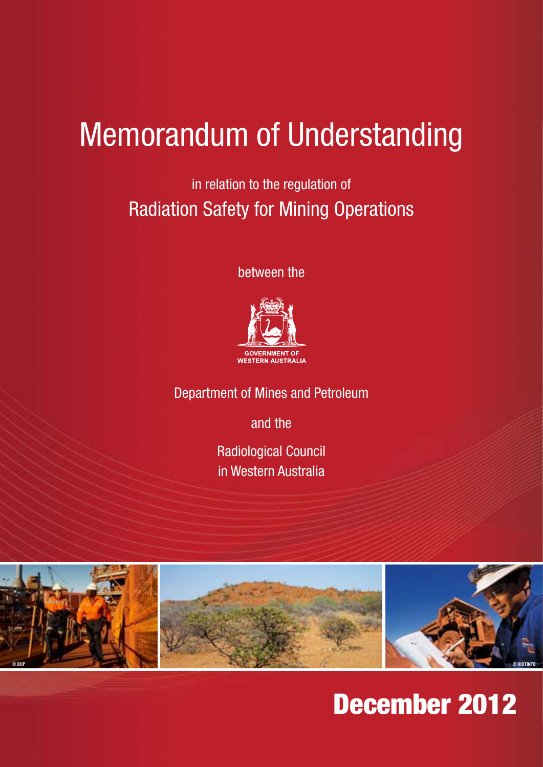in relation to the regulation of Radiation Safety for Mining Operations

between the



Department of Mines and Petroleum

and the

Radiological Council in Western Australia



## December 2012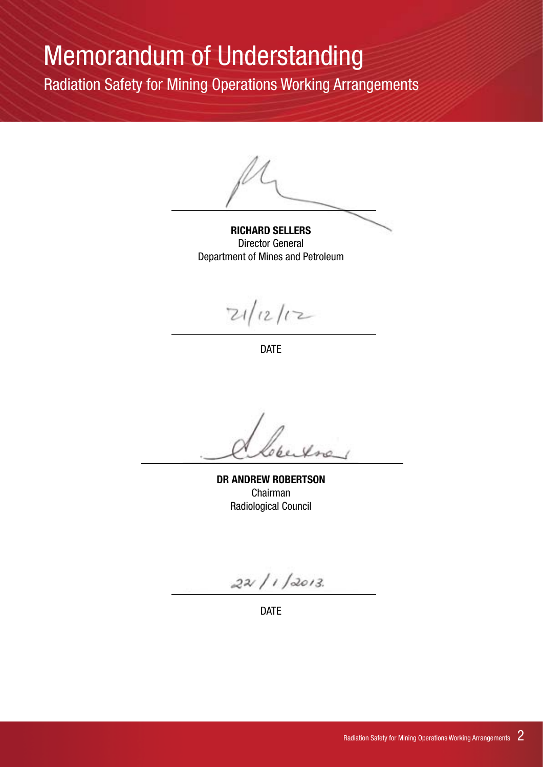Radiation Safety for Mining Operations Working Arrangements

**RICHARD SELLERS** Director General Department of Mines and Petroleum

 $21/12/12$ 

DATE

Xne

**DR ANDREW ROBERTSON** Chairman Radiological Council

 $22/1/2013$ 

DATE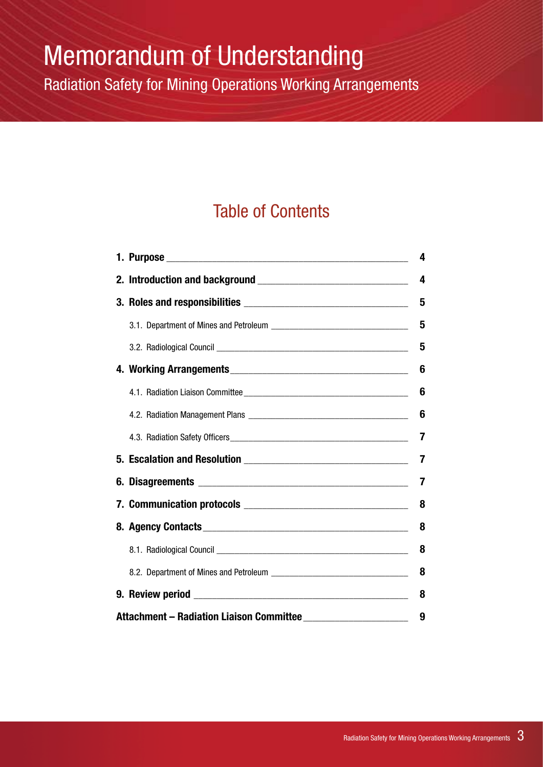Radiation Safety for Mining Operations Working Arrangements

### Table of Contents

|                                               |  | 4 |  |
|-----------------------------------------------|--|---|--|
|                                               |  | 4 |  |
|                                               |  | 5 |  |
|                                               |  | 5 |  |
|                                               |  | 5 |  |
|                                               |  | 6 |  |
|                                               |  | 6 |  |
|                                               |  | 6 |  |
|                                               |  | 7 |  |
|                                               |  | 7 |  |
|                                               |  | 7 |  |
|                                               |  | 8 |  |
|                                               |  | 8 |  |
|                                               |  | 8 |  |
|                                               |  | 8 |  |
|                                               |  | 8 |  |
| Attachment - Radiation Liaison Committee<br>9 |  |   |  |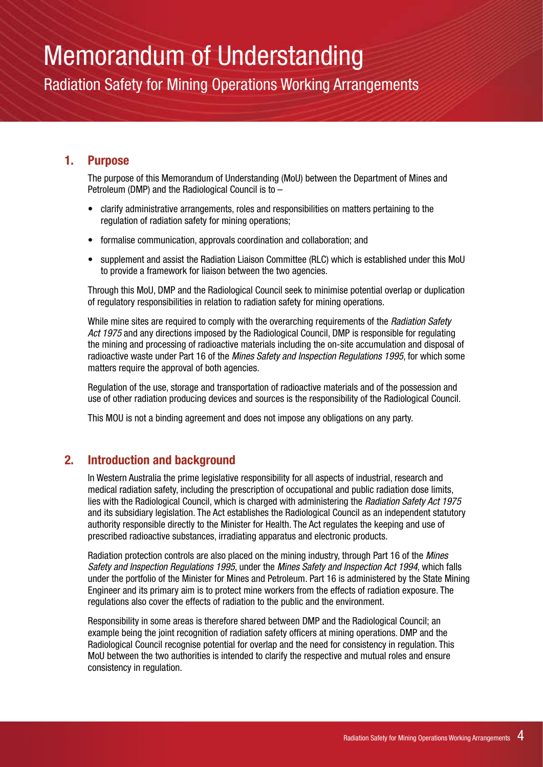Radiation Safety for Mining Operations Working Arrangements

#### **1. Purpose**

The purpose of this Memorandum of Understanding (MoU) between the Department of Mines and Petroleum (DMP) and the Radiological Council is to –

- clarify administrative arrangements, roles and responsibilities on matters pertaining to the regulation of radiation safety for mining operations;
- formalise communication, approvals coordination and collaboration; and
- supplement and assist the Radiation Liaison Committee (RLC) which is established under this MoU to provide a framework for liaison between the two agencies.

Through this MoU, DMP and the Radiological Council seek to minimise potential overlap or duplication of regulatory responsibilities in relation to radiation safety for mining operations.

While mine sites are required to comply with the overarching requirements of the *Radiation Safety Act 1975* and any directions imposed by the Radiological Council, DMP is responsible for regulating the mining and processing of radioactive materials including the on-site accumulation and disposal of radioactive waste under Part 16 of the *Mines Safety and Inspection Regulations 1995*, for which some matters require the approval of both agencies.

Regulation of the use, storage and transportation of radioactive materials and of the possession and use of other radiation producing devices and sources is the responsibility of the Radiological Council.

This MOU is not a binding agreement and does not impose any obligations on any party.

#### **2. Introduction and background**

In Western Australia the prime legislative responsibility for all aspects of industrial, research and medical radiation safety, including the prescription of occupational and public radiation dose limits, lies with the Radiological Council, which is charged with administering the *Radiation Safety Act 1975* and its subsidiary legislation. The Act establishes the Radiological Council as an independent statutory authority responsible directly to the Minister for Health. The Act regulates the keeping and use of prescribed radioactive substances, irradiating apparatus and electronic products.

Radiation protection controls are also placed on the mining industry, through Part 16 of the *Mines Safety and Inspection Regulations 1995*, under the *Mines Safety and Inspection Act 1994*, which falls under the portfolio of the Minister for Mines and Petroleum. Part 16 is administered by the State Mining Engineer and its primary aim is to protect mine workers from the effects of radiation exposure. The regulations also cover the effects of radiation to the public and the environment.

Responsibility in some areas is therefore shared between DMP and the Radiological Council; an example being the joint recognition of radiation safety officers at mining operations. DMP and the Radiological Council recognise potential for overlap and the need for consistency in regulation. This MoU between the two authorities is intended to clarify the respective and mutual roles and ensure consistency in regulation.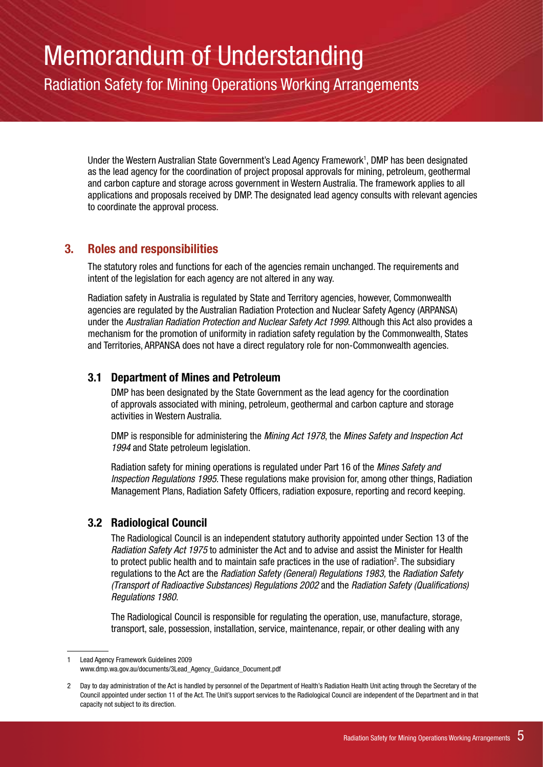Radiation Safety for Mining Operations Working Arrangements

Under the Western Australian State Government's Lead Agency Framework<sup>1</sup>, DMP has been designated as the lead agency for the coordination of project proposal approvals for mining, petroleum, geothermal and carbon capture and storage across government in Western Australia. The framework applies to all applications and proposals received by DMP. The designated lead agency consults with relevant agencies to coordinate the approval process.

#### **3. Roles and responsibilities**

The statutory roles and functions for each of the agencies remain unchanged. The requirements and intent of the legislation for each agency are not altered in any way.

Radiation safety in Australia is regulated by State and Territory agencies, however, Commonwealth agencies are regulated by the Australian Radiation Protection and Nuclear Safety Agency (ARPANSA) under the *Australian Radiation Protection and Nuclear Safety Act 1999*. Although this Act also provides a mechanism for the promotion of uniformity in radiation safety regulation by the Commonwealth, States and Territories, ARPANSA does not have a direct regulatory role for non-Commonwealth agencies.

#### **3.1 Department of Mines and Petroleum**

DMP has been designated by the State Government as the lead agency for the coordination of approvals associated with mining, petroleum, geothermal and carbon capture and storage activities in Western Australia.

DMP is responsible for administering the *Mining Act 1978*, the *Mines Safety and Inspection Act 1994* and State petroleum legislation.

Radiation safety for mining operations is regulated under Part 16 of the *Mines Safety and Inspection Regulations 1995*. These regulations make provision for, among other things, Radiation Management Plans, Radiation Safety Officers, radiation exposure, reporting and record keeping.

#### **3.2 Radiological Council**

The Radiological Council is an independent statutory authority appointed under Section 13 of the *Radiation Safety Act 1975* to administer the Act and to advise and assist the Minister for Health to protect public health and to maintain safe practices in the use of radiation<sup>2</sup>. The subsidiary regulations to the Act are the *Radiation Safety (General) Regulations 1983,* the *Radiation Safety (Transport of Radioactive Substances) Regulations 2002* and the *Radiation Safety (Qualifications) Regulations 1980*.

The Radiological Council is responsible for regulating the operation, use, manufacture, storage, transport, sale, possession, installation, service, maintenance, repair, or other dealing with any

**Lead Agency Framework Guidelines 2009** 

www.dmp.wa.gov.au/documents/3Lead\_Agency\_Guidance\_Document.pdf

<sup>2</sup> Day to day administration of the Act is handled by personnel of the Department of Health's Radiation Health Unit acting through the Secretary of the Council appointed under section 11 of the Act. The Unit's support services to the Radiological Council are independent of the Department and in that capacity not subject to its direction.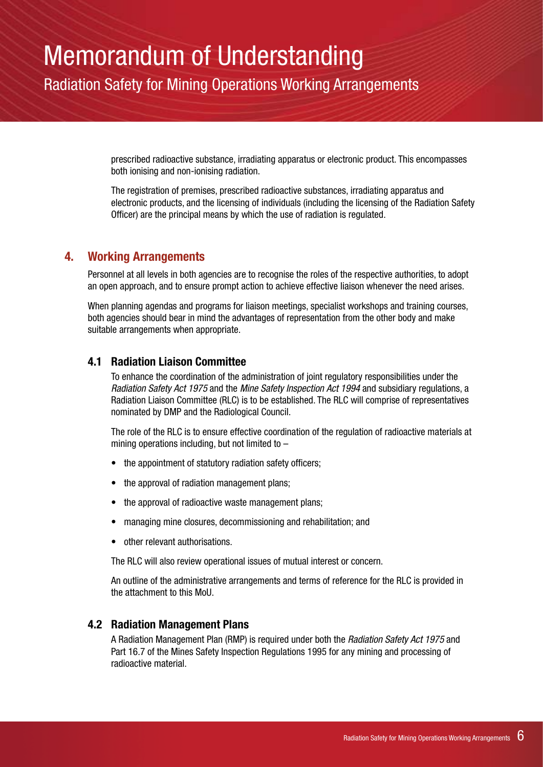Radiation Safety for Mining Operations Working Arrangements

prescribed radioactive substance, irradiating apparatus or electronic product. This encompasses both ionising and non-ionising radiation.

The registration of premises, prescribed radioactive substances, irradiating apparatus and electronic products, and the licensing of individuals (including the licensing of the Radiation Safety Officer) are the principal means by which the use of radiation is regulated.

#### **4. Working Arrangements**

Personnel at all levels in both agencies are to recognise the roles of the respective authorities, to adopt an open approach, and to ensure prompt action to achieve effective liaison whenever the need arises.

When planning agendas and programs for liaison meetings, specialist workshops and training courses, both agencies should bear in mind the advantages of representation from the other body and make suitable arrangements when appropriate.

#### **4.1 Radiation Liaison Committee**

To enhance the coordination of the administration of joint regulatory responsibilities under the *Radiation Safety Act 1975* and the *Mine Safety Inspection Act 1994* and subsidiary regulations, a Radiation Liaison Committee (RLC) is to be established. The RLC will comprise of representatives nominated by DMP and the Radiological Council.

The role of the RLC is to ensure effective coordination of the regulation of radioactive materials at mining operations including, but not limited to  $-$ 

- the appointment of statutory radiation safety officers;
- the approval of radiation management plans;
- the approval of radioactive waste management plans;
- managing mine closures, decommissioning and rehabilitation; and
- other relevant authorisations.

The RLC will also review operational issues of mutual interest or concern.

An outline of the administrative arrangements and terms of reference for the RLC is provided in the attachment to this MoU.

#### **4.2 Radiation Management Plans**

A Radiation Management Plan (RMP) is required under both the *Radiation Safety Act 1975* and Part 16.7 of the Mines Safety Inspection Regulations 1995 for any mining and processing of radioactive material.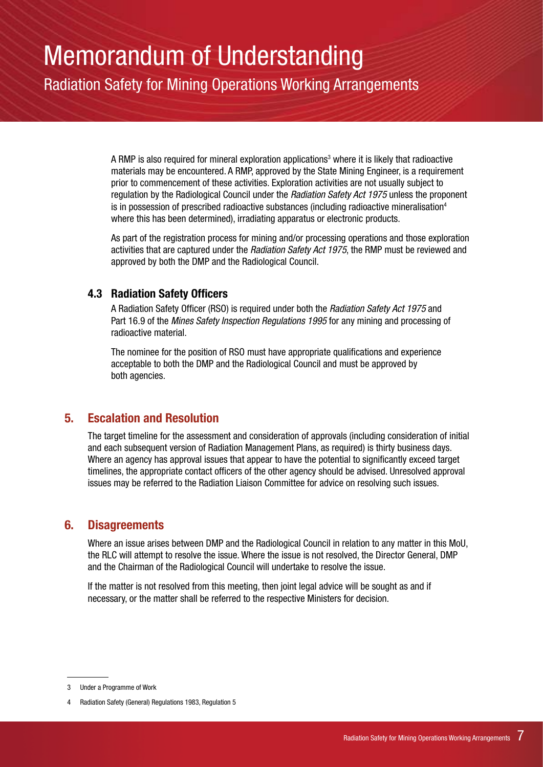Radiation Safety for Mining Operations Working Arrangements

A RMP is also required for mineral exploration applications<sup>3</sup> where it is likely that radioactive materials may be encountered. A RMP, approved by the State Mining Engineer, is a requirement prior to commencement of these activities. Exploration activities are not usually subject to regulation by the Radiological Council under the *Radiation Safety Act 1975* unless the proponent is in possession of prescribed radioactive substances (including radioactive mineralisation<sup>4</sup> where this has been determined), irradiating apparatus or electronic products.

As part of the registration process for mining and/or processing operations and those exploration activities that are captured under the *Radiation Safety Act 1975*, the RMP must be reviewed and approved by both the DMP and the Radiological Council.

#### **4.3 Radiation Safety Officers**

A Radiation Safety Officer (RSO) is required under both the *Radiation Safety Act 1975* and Part 16.9 of the *Mines Safety Inspection Regulations 1995* for any mining and processing of radioactive material.

The nominee for the position of RSO must have appropriate qualifications and experience acceptable to both the DMP and the Radiological Council and must be approved by both agencies.

#### **5. Escalation and Resolution**

The target timeline for the assessment and consideration of approvals (including consideration of initial and each subsequent version of Radiation Management Plans, as required) is thirty business days. Where an agency has approval issues that appear to have the potential to significantly exceed target timelines, the appropriate contact officers of the other agency should be advised. Unresolved approval issues may be referred to the Radiation Liaison Committee for advice on resolving such issues.

#### **6. Disagreements**

Where an issue arises between DMP and the Radiological Council in relation to any matter in this MoU, the RLC will attempt to resolve the issue. Where the issue is not resolved, the Director General, DMP and the Chairman of the Radiological Council will undertake to resolve the issue.

If the matter is not resolved from this meeting, then joint legal advice will be sought as and if necessary, or the matter shall be referred to the respective Ministers for decision.

<sup>3</sup> Under a Programme of Work

<sup>4</sup> Radiation Safety (General) Regulations 1983, Regulation 5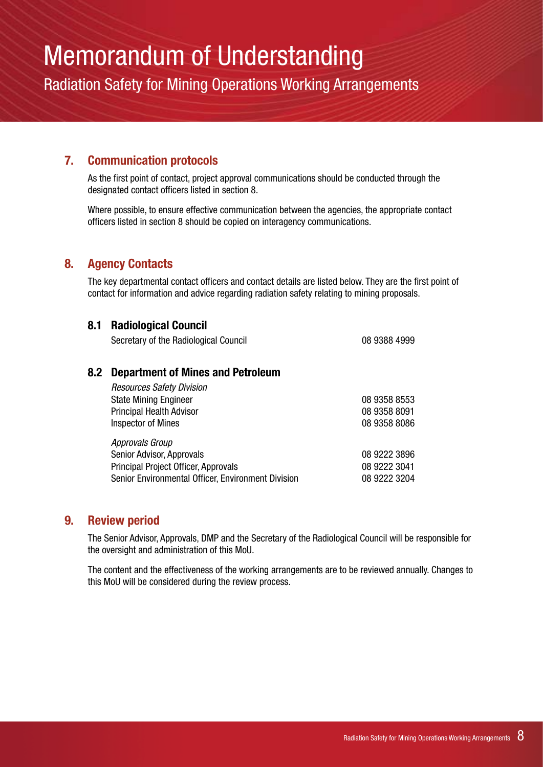Radiation Safety for Mining Operations Working Arrangements

#### **7. Communication protocols**

As the first point of contact, project approval communications should be conducted through the designated contact officers listed in section 8.

Where possible, to ensure effective communication between the agencies, the appropriate contact officers listed in section 8 should be copied on interagency communications.

#### **8. Agency Contacts**

The key departmental contact officers and contact details are listed below. They are the first point of contact for information and advice regarding radiation safety relating to mining proposals.

#### **8.1 Radiological Council**

Secretary of the Radiological Council **Canadian Council** 08 9388 4999

#### **8.2 Department of Mines and Petroleum**

| <b>Resources Safety Division</b>                   |              |
|----------------------------------------------------|--------------|
| <b>State Mining Engineer</b>                       | 08 9358 8553 |
| <b>Principal Health Advisor</b>                    | 08 9358 8091 |
| <b>Inspector of Mines</b>                          | 08 9358 8086 |
| Approvals Group                                    |              |
| Senior Advisor, Approvals                          | 08 9222 3896 |
| <b>Principal Project Officer, Approvals</b>        | 08 9222 3041 |
| Senior Environmental Officer, Environment Division | 08 9222 3204 |

#### **9. Review period**

The Senior Advisor, Approvals, DMP and the Secretary of the Radiological Council will be responsible for the oversight and administration of this MoU.

The content and the effectiveness of the working arrangements are to be reviewed annually. Changes to this MoU will be considered during the review process.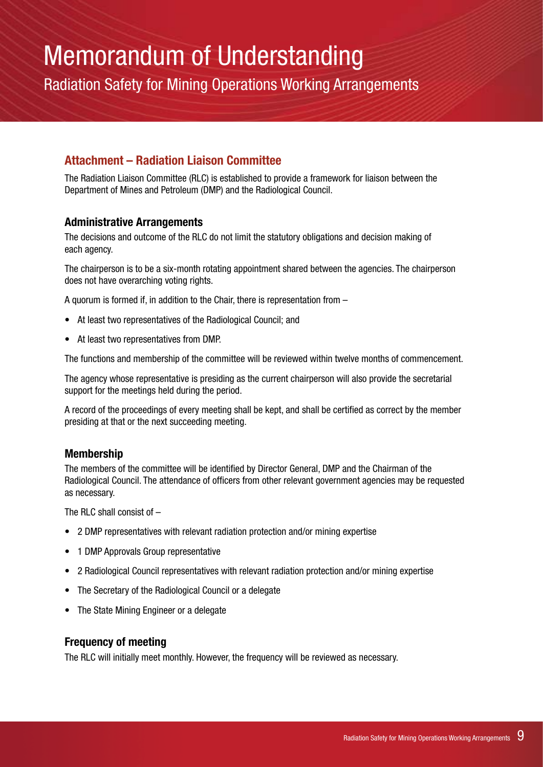Radiation Safety for Mining Operations Working Arrangements

#### **Attachment – Radiation Liaison Committee**

The Radiation Liaison Committee (RLC) is established to provide a framework for liaison between the Department of Mines and Petroleum (DMP) and the Radiological Council.

#### **Administrative Arrangements**

The decisions and outcome of the RLC do not limit the statutory obligations and decision making of each agency.

The chairperson is to be a six-month rotating appointment shared between the agencies. The chairperson does not have overarching voting rights.

A quorum is formed if, in addition to the Chair, there is representation from –

- At least two representatives of the Radiological Council: and
- At least two representatives from DMP.

The functions and membership of the committee will be reviewed within twelve months of commencement.

The agency whose representative is presiding as the current chairperson will also provide the secretarial support for the meetings held during the period.

A record of the proceedings of every meeting shall be kept, and shall be certified as correct by the member presiding at that or the next succeeding meeting.

#### **Membership**

The members of the committee will be identified by Director General, DMP and the Chairman of the Radiological Council. The attendance of officers from other relevant government agencies may be requested as necessary.

The RLC shall consist of –

- 2 DMP representatives with relevant radiation protection and/or mining expertise
- 1 DMP Approvals Group representative
- 2 Radiological Council representatives with relevant radiation protection and/or mining expertise
- The Secretary of the Radiological Council or a delegate
- The State Mining Engineer or a delegate

#### **Frequency of meeting**

The RLC will initially meet monthly. However, the frequency will be reviewed as necessary.